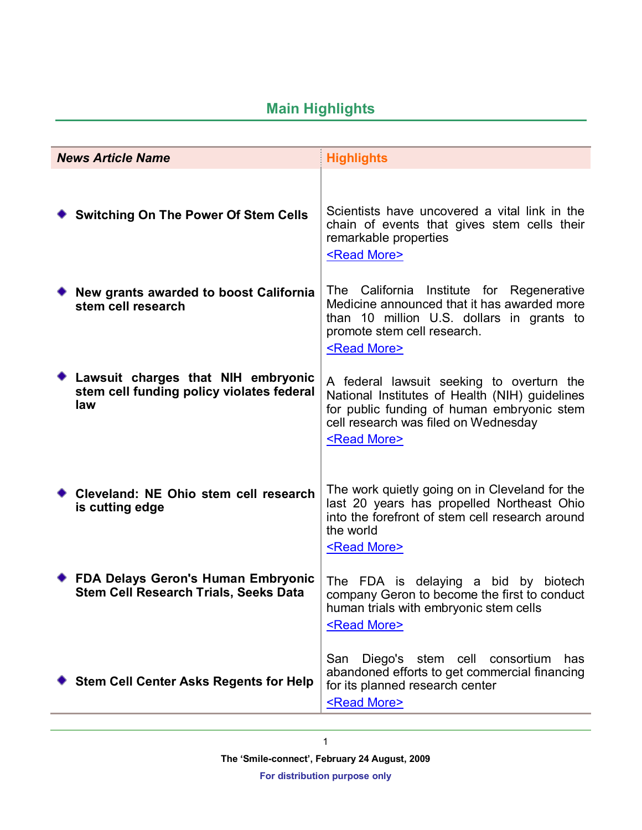# **Main Highlights**

| <b>News Article Name</b> |                                                                                        | <b>Highlights</b>                                                                                                                                                                                          |
|--------------------------|----------------------------------------------------------------------------------------|------------------------------------------------------------------------------------------------------------------------------------------------------------------------------------------------------------|
|                          | ◆ Switching On The Power Of Stem Cells                                                 | Scientists have uncovered a vital link in the<br>chain of events that gives stem cells their<br>remarkable properties<br><read more=""></read>                                                             |
|                          | • New grants awarded to boost California<br>stem cell research                         | The California Institute for Regenerative<br>Medicine announced that it has awarded more<br>than 10 million U.S. dollars in grants to<br>promote stem cell research.<br><read more=""></read>              |
|                          | Lawsuit charges that NIH embryonic<br>stem cell funding policy violates federal<br>law | A federal lawsuit seeking to overturn the<br>National Institutes of Health (NIH) guidelines<br>for public funding of human embryonic stem<br>cell research was filed on Wednesday<br><read more=""></read> |
|                          | Cleveland: NE Ohio stem cell research<br>is cutting edge                               | The work quietly going on in Cleveland for the<br>last 20 years has propelled Northeast Ohio<br>into the forefront of stem cell research around<br>the world<br><read more=""></read>                      |
|                          | ◆ FDA Delays Geron's Human Embryonic<br><b>Stem Cell Research Trials, Seeks Data</b>   | The FDA is delaying a bid by biotech<br>company Geron to become the first to conduct<br>human trials with embryonic stem cells<br><read more=""></read>                                                    |
|                          | <b>Stem Cell Center Asks Regents for Help</b>                                          | Diego's stem cell consortium<br>San<br>has<br>abandoned efforts to get commercial financing<br>for its planned research center<br><read more=""></read>                                                    |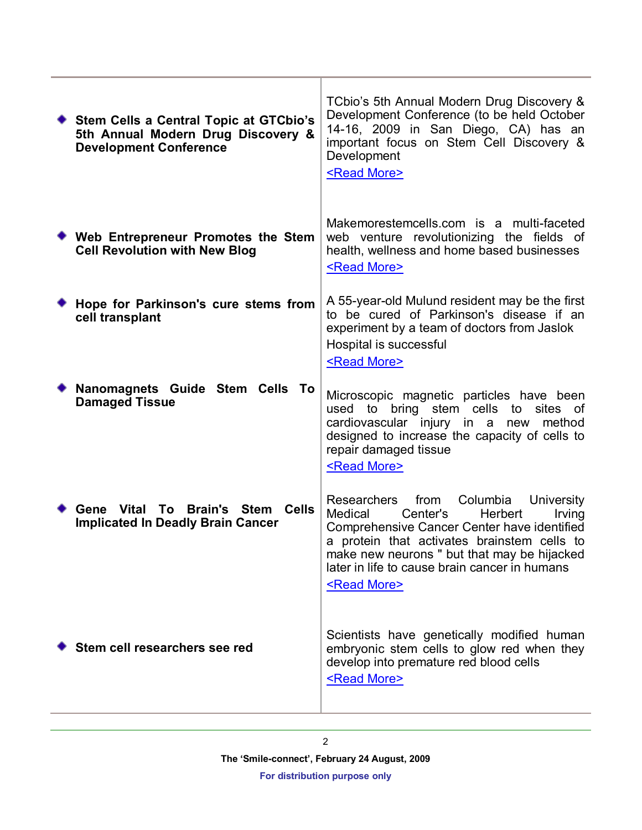| Stem Cells a Central Topic at GTCbio's<br>5th Annual Modern Drug Discovery &<br><b>Development Conference</b> | TCbio's 5th Annual Modern Drug Discovery &<br>Development Conference (to be held October<br>14-16, 2009 in San Diego, CA) has an<br>important focus on Stem Cell Discovery &<br>Development<br><read more=""></read>                                                                                                    |
|---------------------------------------------------------------------------------------------------------------|-------------------------------------------------------------------------------------------------------------------------------------------------------------------------------------------------------------------------------------------------------------------------------------------------------------------------|
| • Web Entrepreneur Promotes the Stem<br><b>Cell Revolution with New Blog</b>                                  | Makemorestemcells.com is a multi-faceted<br>web venture revolutionizing the fields of<br>health, wellness and home based businesses<br><read more=""></read>                                                                                                                                                            |
| • Hope for Parkinson's cure stems from<br>cell transplant                                                     | A 55-year-old Mulund resident may be the first<br>to be cured of Parkinson's disease if an<br>experiment by a team of doctors from Jaslok<br>Hospital is successful<br><read more=""></read>                                                                                                                            |
| Nanomagnets Guide Stem Cells To<br><b>Damaged Tissue</b>                                                      | Microscopic magnetic particles have been<br>bring stem cells<br>to<br>sites of<br>used<br>to<br>cardiovascular injury in a new method<br>designed to increase the capacity of cells to<br>repair damaged tissue<br><read more=""></read>                                                                                |
| Gene Vital<br>To Brain's Stem Cells<br><b>Implicated In Deadly Brain Cancer</b>                               | Researchers<br>from<br>Columbia<br>University<br>Medical<br>Center's<br><b>Herbert</b><br>Irving<br>Comprehensive Cancer Center have identified<br>a protein that activates brainstem cells to<br>make new neurons " but that may be hijacked<br>later in life to cause brain cancer in humans<br><read more=""></read> |
| Stem cell researchers see red                                                                                 | Scientists have genetically modified human<br>embryonic stem cells to glow red when they<br>develop into premature red blood cells<br><read more=""></read>                                                                                                                                                             |

2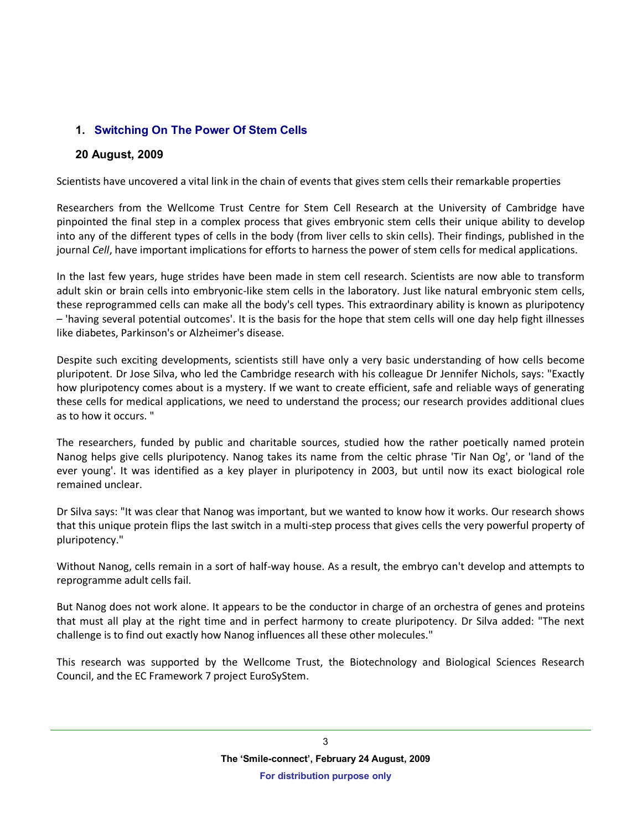## <span id="page-2-0"></span>**1. Switching On The Power Of Stem Cells**

## **20 August, 2009**

Scientists have uncovered a vital link in the chain of events that gives stem cells their remarkable properties

Researchers from the Wellcome Trust Centre for Stem Cell Research at the University of Cambridge have pinpointed the final step in a complex process that gives embryonic stem cells their unique ability to develop into any of the different types of cells in the body (from liver cells to skin cells). Their findings, published in the journal *Cell*, have important implications for efforts to harness the power of stem cells for medical applications.

In the last few years, huge strides have been made in stem cell research. Scientists are now able to transform adult skin or brain cells into embryonic-like stem cells in the laboratory. Just like natural embryonic stem cells, these reprogrammed cells can make all the body's cell types. This extraordinary ability is known as pluripotency – 'having several potential outcomes'. It is the basis for the hope that stem cells will one day help fight illnesses like diabetes, Parkinson's or Alzheimer's disease.

Despite such exciting developments, scientists still have only a very basic understanding of how cells become pluripotent. Dr Jose Silva, who led the Cambridge research with his colleague Dr Jennifer Nichols, says: "Exactly how pluripotency comes about is a mystery. If we want to create efficient, safe and reliable ways of generating these cells for medical applications, we need to understand the process; our research provides additional clues as to how it occurs. "

The researchers, funded by public and charitable sources, studied how the rather poetically named protein Nanog helps give cells pluripotency. Nanog takes its name from the celtic phrase 'Tir Nan Og', or 'land of the ever young'. It was identified as a key player in pluripotency in 2003, but until now its exact biological role remained unclear.

Dr Silva says: "It was clear that Nanog was important, but we wanted to know how it works. Our research shows that this unique protein flips the last switch in a multi-step process that gives cells the very powerful property of pluripotency."

Without Nanog, cells remain in a sort of half-way house. As a result, the embryo can't develop and attempts to reprogramme adult cells fail.

But Nanog does not work alone. It appears to be the conductor in charge of an orchestra of genes and proteins that must all play at the right time and in perfect harmony to create pluripotency. Dr Silva added: "The next challenge is to find out exactly how Nanog influences all these other molecules."

This research was supported by the Wellcome Trust, the Biotechnology and Biological Sciences Research Council, and the EC Framework 7 project EuroSyStem.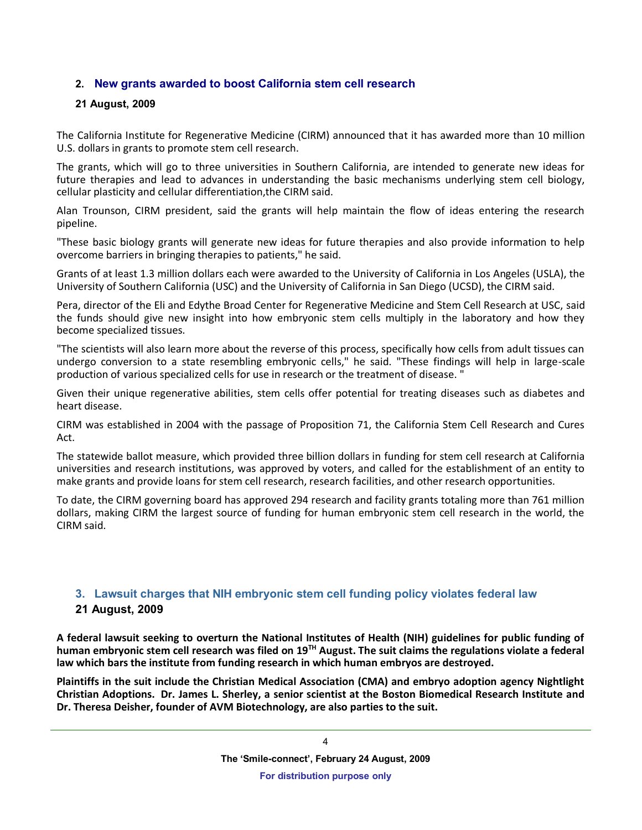## <span id="page-3-0"></span>**2. New grants awarded to boost California stem cell research**

## **21 August, 2009**

The California Institute for Regenerative Medicine (CIRM) announced that it has awarded more than 10 million U.S. dollars in grants to promote stem cell research.

The grants, which will go to three universities in Southern California, are intended to generate new ideas for future therapies and lead to advances in understanding the basic mechanisms underlying stem cell biology, cellular plasticity and cellular differentiation,the CIRM said.

Alan Trounson, CIRM president, said the grants will help maintain the flow of ideas entering the research pipeline.

"These basic biology grants will generate new ideas for future therapies and also provide information to help overcome barriers in bringing therapies to patients," he said.

Grants of at least 1.3 million dollars each were awarded to the University of California in Los Angeles (USLA), the University of Southern California (USC) and the University of California in San Diego (UCSD), the CIRM said.

Pera, director of the Eli and Edythe Broad Center for Regenerative Medicine and Stem Cell Research at USC, said the funds should give new insight into how embryonic stem cells multiply in the laboratory and how they become specialized tissues.

"The scientists will also learn more about the reverse of this process, specifically how cells from adult tissues can undergo conversion to a state resembling embryonic cells," he said. "These findings will help in large-scale production of various specialized cells for use in research or the treatment of disease. "

Given their unique regenerative abilities, stem cells offer potential for treating diseases such as diabetes and heart disease.

CIRM was established in 2004 with the passage of Proposition 71, the California Stem Cell Research and Cures Act.

The statewide ballot measure, which provided three billion dollars in funding for stem cell research at California universities and research institutions, was approved by voters, and called for the establishment of an entity to make grants and provide loans for stem cell research, research facilities, and other research opportunities.

To date, the CIRM governing board has approved 294 research and facility grants totaling more than 761 million dollars, making CIRM the largest source of funding for human embryonic stem cell research in the world, the CIRM said.

## <span id="page-3-1"></span>**3. Lawsuit charges that NIH embryonic stem cell funding policy violates federal law**

## **21 August, 2009**

**A federal lawsuit seeking to overturn the National Institutes of Health (NIH) guidelines for public funding of human embryonic stem cell research was filed on 19TH August. The suit claims the regulations violate a federal law which bars the institute from funding research in which human embryos are destroyed.**

**Plaintiffs in the suit include the Christian Medical Association (CMA) and embryo adoption agency Nightlight Christian Adoptions. Dr. James L. Sherley, a senior scientist at the Boston Biomedical Research Institute and Dr. Theresa Deisher, founder of AVM Biotechnology, are also parties to the suit.**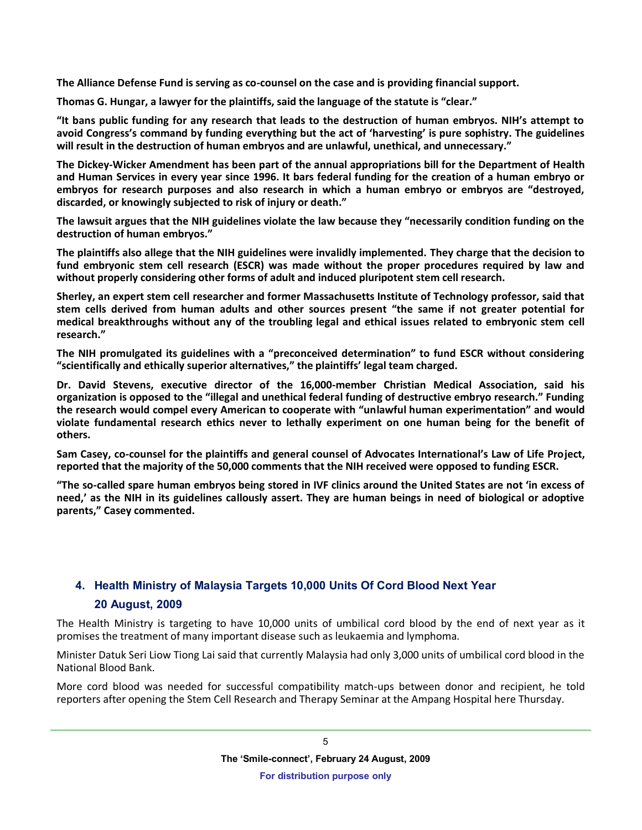**The Alliance Defense Fund is serving as co-counsel on the case and is providing financial support.**

**Thomas G. Hungar, a lawyer for the plaintiffs, said the language of the statute is "clear."**

**"It bans public funding for any research that leads to the destruction of human embryos. NIH's attempt to avoid Congress's command by funding everything but the act of 'harvesting' is pure sophistry. The guidelines will result in the destruction of human embryos and are unlawful, unethical, and unnecessary."**

**The Dickey-Wicker Amendment has been part of the annual appropriations bill for the Department of Health and Human Services in every year since 1996. It bars federal funding for the creation of a human embryo or embryos for research purposes and also research in which a human embryo or embryos are "destroyed, discarded, or knowingly subjected to risk of injury or death."**

**The lawsuit argues that the NIH guidelines violate the law because they "necessarily condition funding on the destruction of human embryos."**

**The plaintiffs also allege that the NIH guidelines were invalidly implemented. They charge that the decision to fund embryonic stem cell research (ESCR) was made without the proper procedures required by law and without properly considering other forms of adult and induced pluripotent stem cell research.**

**Sherley, an expert stem cell researcher and former Massachusetts Institute of Technology professor, said that stem cells derived from human adults and other sources present "the same if not greater potential for medical breakthroughs without any of the troubling legal and ethical issues related to embryonic stem cell research."**

**The NIH promulgated its guidelines with a "preconceived determination" to fund ESCR without considering "scientifically and ethically superior alternatives," the plaintiffs' legal team charged.**

**Dr. David Stevens, executive director of the 16,000-member Christian Medical Association, said his organization is opposed to the "illegal and unethical federal funding of destructive embryo research." Funding the research would compel every American to cooperate with "unlawful human experimentation" and would violate fundamental research ethics never to lethally experiment on one human being for the benefit of others.**

**Sam Casey, co-counsel for the plaintiffs and general counsel of Advocates International's Law of Life Project, reported that the majority of the 50,000 comments that the NIH received were opposed to funding ESCR.**

**"The so-called spare human embryos being stored in IVF clinics around the United States are not 'in excess of need,' as the NIH in its guidelines callously assert. They are human beings in need of biological or adoptive parents," Casey commented.**

## **4. Health Ministry of Malaysia Targets 10,000 Units Of Cord Blood Next Year**

## **20 August, 2009**

The Health Ministry is targeting to have 10,000 units of umbilical cord blood by the end of next year as it promises the treatment of many important disease such as leukaemia and lymphoma.

Minister Datuk Seri Liow Tiong Lai said that currently Malaysia had only 3,000 units of umbilical cord blood in the National Blood Bank.

More cord blood was needed for successful compatibility match-ups between donor and recipient, he told reporters after opening the Stem Cell Research and Therapy Seminar at the Ampang Hospital here Thursday.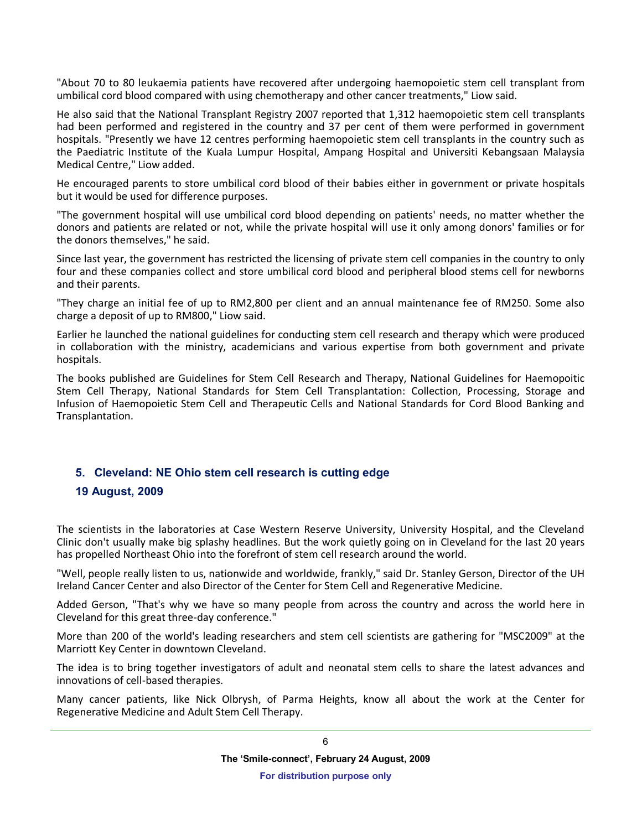"About 70 to 80 leukaemia patients have recovered after undergoing haemopoietic stem cell transplant from umbilical cord blood compared with using chemotherapy and other cancer treatments," Liow said.

He also said that the National Transplant Registry 2007 reported that 1,312 haemopoietic stem cell transplants had been performed and registered in the country and 37 per cent of them were performed in government hospitals. "Presently we have 12 centres performing haemopoietic stem cell transplants in the country such as the Paediatric Institute of the Kuala Lumpur Hospital, Ampang Hospital and Universiti Kebangsaan Malaysia Medical Centre," Liow added.

He encouraged parents to store umbilical cord blood of their babies either in government or private hospitals but it would be used for difference purposes.

"The government hospital will use umbilical cord blood depending on patients' needs, no matter whether the donors and patients are related or not, while the private hospital will use it only among donors' families or for the donors themselves," he said.

Since last year, the government has restricted the licensing of private stem cell companies in the country to only four and these companies collect and store umbilical cord blood and peripheral blood stems cell for newborns and their parents.

"They charge an initial fee of up to RM2,800 per client and an annual maintenance fee of RM250. Some also charge a deposit of up to RM800," Liow said.

Earlier he launched the national guidelines for conducting stem cell research and therapy which were produced in collaboration with the ministry, academicians and various expertise from both government and private hospitals.

The books published are Guidelines for Stem Cell Research and Therapy, National Guidelines for Haemopoitic Stem Cell Therapy, National Standards for Stem Cell Transplantation: Collection, Processing, Storage and Infusion of Haemopoietic Stem Cell and Therapeutic Cells and National Standards for Cord Blood Banking and Transplantation.

### <span id="page-5-0"></span>**5. Cleveland: NE Ohio stem cell research is cutting edge**

## **19 August, 2009**

The scientists in the laboratories at Case Western Reserve University, University Hospital, and the Cleveland Clinic don't usually make big splashy headlines. But the work quietly going on in Cleveland for the last 20 years has propelled Northeast Ohio into the forefront of stem cell research around the world.

"Well, people really listen to us, nationwide and worldwide, frankly," said Dr. Stanley Gerson, Director of the UH Ireland Cancer Center and also Director of the Center for Stem Cell and Regenerative Medicine.

Added Gerson, "That's why we have so many people from across the country and across the world here in Cleveland for this great three-day conference."

More than 200 of the world's leading researchers and stem cell scientists are gathering for "MSC2009" at the Marriott Key Center in downtown Cleveland.

The idea is to bring together investigators of adult and neonatal stem cells to share the latest advances and innovations of cell-based therapies.

Many cancer patients, like Nick Olbrysh, of Parma Heights, know all about the work at the Center for Regenerative Medicine and Adult Stem Cell Therapy.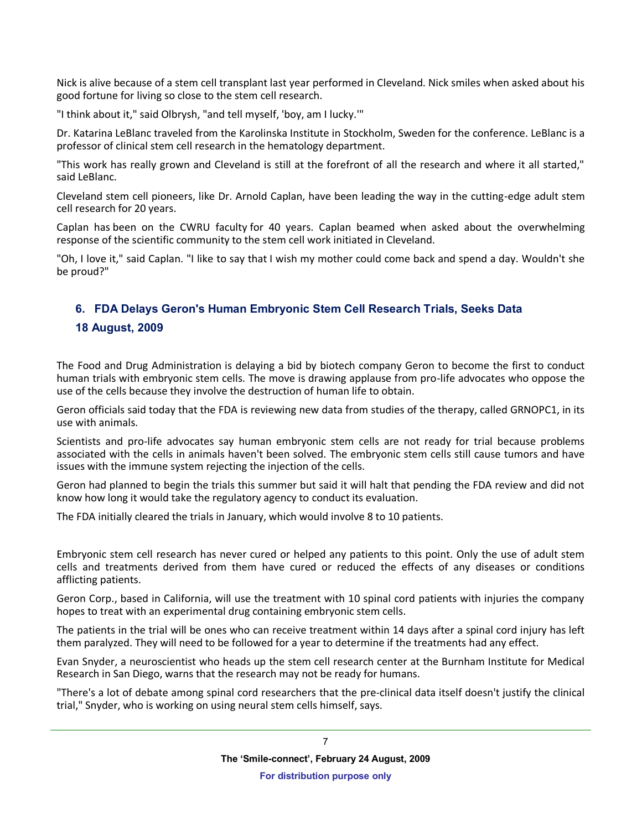Nick is alive because of a stem cell transplant last year performed in Cleveland. Nick smiles when asked about his good fortune for living so close to the stem cell research.

"I think about it," said Olbrysh, "and tell myself, 'boy, am I lucky.'"

Dr. Katarina LeBlanc traveled from the Karolinska Institute in Stockholm, Sweden for the conference. LeBlanc is a professor of clinical stem cell research in the hematology department.

"This work has really grown and Cleveland is still at the forefront of all the research and where it all started," said LeBlanc.

Cleveland stem cell pioneers, like Dr. Arnold Caplan, have been leading the way in the cutting-edge adult stem cell research for 20 years.

Caplan has been on the CWRU faculty for 40 years. Caplan beamed when asked about the overwhelming response of the scientific community to the stem cell work initiated in Cleveland.

"Oh, I love it," said Caplan. "I like to say that I wish my mother could come back and spend a day. Wouldn't she be proud?"

## <span id="page-6-0"></span>**6. FDA Delays Geron's Human Embryonic Stem Cell Research Trials, Seeks Data**

## **18 August, 2009**

The Food and Drug Administration is delaying a bid by biotech company Geron to become the first to conduct human trials with embryonic stem cells. The move is drawing applause from pro-life advocates who oppose the use of the cells because they involve the destruction of human life to obtain.

Geron officials said today that the FDA is reviewing new data from studies of the therapy, called GRNOPC1, in its use with animals.

Scientists and pro-life advocates say human embryonic stem cells are not ready for trial because problems associated with the cells in animals haven't been solved. The embryonic stem cells still cause tumors and have issues with the immune system rejecting the injection of the cells.

Geron had planned to begin the trials this summer but said it will halt that pending the FDA review and did not know how long it would take the regulatory agency to conduct its evaluation.

The FDA initially cleared the trials in January, which would involve 8 to 10 patients.

Embryonic stem cell research has never cured or helped any patients to this point. Only the use of adult stem cells and treatments derived from them have cured or reduced the effects of any diseases or conditions afflicting patients.

Geron Corp., based in California, will use the treatment with 10 spinal cord patients with injuries the company hopes to treat with an experimental drug containing embryonic stem cells.

The patients in the trial will be ones who can receive treatment within 14 days after a spinal cord injury has left them paralyzed. They will need to be followed for a year to determine if the treatments had any effect.

Evan Snyder, a neuroscientist who heads up the stem cell research center at the Burnham Institute for Medical Research in San Diego, warns that the research may not be ready for humans.

"There's a lot of debate among spinal cord researchers that the pre-clinical data itself doesn't justify the clinical trial," Snyder, who is working on using neural stem cells himself, says.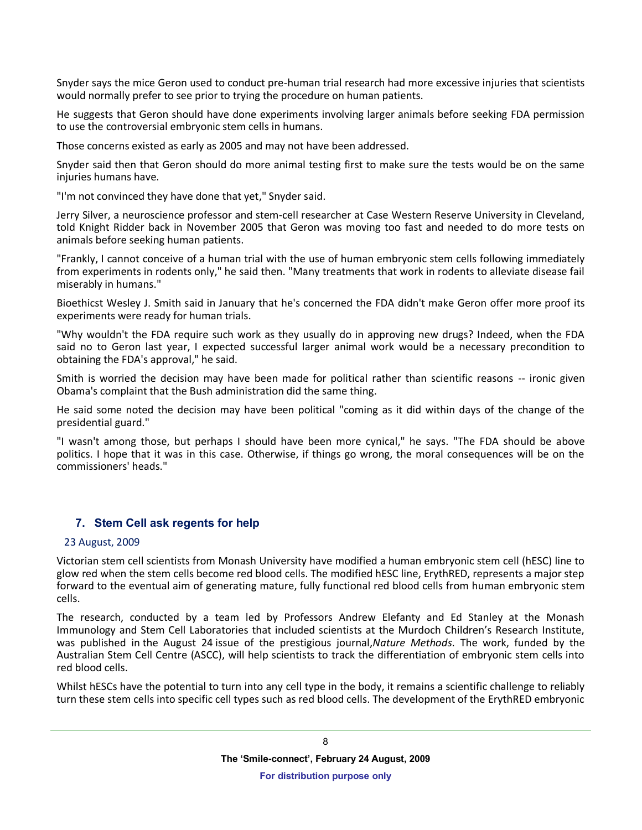Snyder says the mice Geron used to conduct pre-human trial research had more excessive injuries that scientists would normally prefer to see prior to trying the procedure on human patients.

He suggests that Geron should have done experiments involving larger animals before seeking FDA permission to use the controversial embryonic stem cells in humans.

Those concerns existed as early as 2005 and may not have been addressed.

Snyder said then that Geron should do more animal testing first to make sure the tests would be on the same injuries humans have.

"I'm not convinced they have done that yet," Snyder said.

Jerry Silver, a neuroscience professor and stem-cell researcher at Case Western Reserve University in Cleveland, told Knight Ridder back in November 2005 that Geron was moving too fast and needed to do more tests on animals before seeking human patients.

"Frankly, I cannot conceive of a human trial with the use of human embryonic stem cells following immediately from experiments in rodents only," he said then. "Many treatments that work in rodents to alleviate disease fail miserably in humans."

Bioethicst Wesley J. Smith said in January that he's concerned the FDA didn't make Geron offer more proof its experiments were ready for human trials.

"Why wouldn't the FDA require such work as they usually do in approving new drugs? Indeed, when the FDA said no to Geron last year, I expected successful larger animal work would be a necessary precondition to obtaining the FDA's approval," he said.

Smith is worried the decision may have been made for political rather than scientific reasons -- ironic given Obama's complaint that the Bush administration did the same thing.

He said some noted the decision may have been political "coming as it did within days of the change of the presidential guard."

"I wasn't among those, but perhaps I should have been more cynical," he says. "The FDA should be above politics. I hope that it was in this case. Otherwise, if things go wrong, the moral consequences will be on the commissioners' heads."

## <span id="page-7-0"></span>**7. Stem Cell ask regents for help**

### 23 August, 2009

Victorian stem cell scientists from Monash University have modified a human embryonic stem cell (hESC) line to glow red when the stem cells become red blood cells. The modified hESC line, ErythRED, represents a major step forward to the eventual aim of generating mature, fully functional red blood cells from human embryonic stem cells.

The research, conducted by a team led by Professors Andrew Elefanty and Ed Stanley at the Monash Immunology and Stem Cell Laboratories that included scientists at the Murdoch Children's Research Institute, was published in the August 24 issue of the prestigious journal,*Nature Methods*. The work, funded by the Australian Stem Cell Centre (ASCC), will help scientists to track the differentiation of embryonic stem cells into red blood cells.

Whilst hESCs have the potential to turn into any cell type in the body, it remains a scientific challenge to reliably turn these stem cells into specific cell types such as red blood cells. The development of the ErythRED embryonic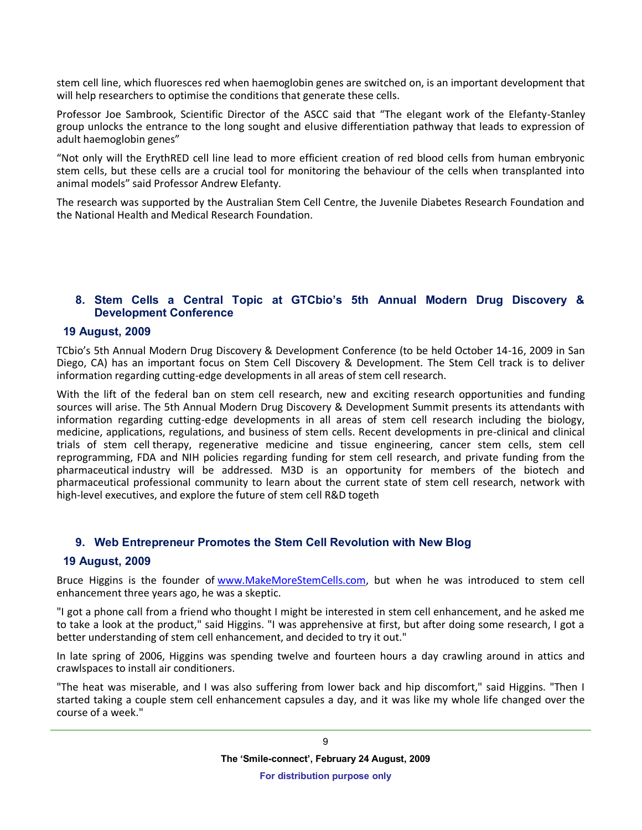stem cell line, which fluoresces red when haemoglobin genes are switched on, is an important development that will help researchers to optimise the conditions that generate these cells.

Professor Joe Sambrook, Scientific Director of the ASCC said that "The elegant work of the Elefanty-Stanley group unlocks the entrance to the long sought and elusive differentiation pathway that leads to expression of adult haemoglobin genes"

"Not only will the ErythRED cell line lead to more efficient creation of red blood cells from human embryonic stem cells, but these cells are a crucial tool for monitoring the behaviour of the cells when transplanted into animal models" said Professor Andrew Elefanty.

The research was supported by the Australian Stem Cell Centre, the Juvenile Diabetes Research Foundation and the National Health and Medical Research Foundation.

## <span id="page-8-0"></span>**8. Stem Cells a Central Topic at GTCbio's 5th Annual Modern Drug Discovery & Development Conference**

#### **19 August, 2009**

TCbio's 5th Annual Modern Drug Discovery & Development Conference (to be held October 14-16, 2009 in San Diego, CA) has an important focus on Stem Cell Discovery & Development. The Stem Cell track is to deliver information regarding cutting-edge developments in all areas of stem cell research.

With the lift of the federal ban on stem cell research, new and exciting research opportunities and funding sources will arise. The 5th Annual Modern Drug Discovery & Development Summit presents its attendants with information regarding cutting-edge developments in all areas of stem cell research including the biology, medicine, applications, regulations, and business of stem cells. Recent developments in pre-clinical and clinical trials of stem cell therapy, regenerative medicine and tissue engineering, cancer stem cells, stem cell reprogramming, FDA and NIH policies regarding funding for stem cell research, and private funding from the pharmaceutical industry will be addressed. M3D is an opportunity for members of the biotech and pharmaceutical professional community to learn about the current state of stem cell research, network with high-level executives, and explore the future of stem cell R&D togeth

### <span id="page-8-1"></span>**9. Web Entrepreneur Promotes the Stem Cell Revolution with New Blog**

#### **19 August, 2009**

Bruce Higgins is the founder of [www.MakeMoreStemCells.com,](http://www.makemorestemcells.com/) but when he was introduced to stem cell enhancement three years ago, he was a skeptic.

"I got a phone call from a friend who thought I might be interested in stem cell enhancement, and he asked me to take a look at the product," said Higgins. "I was apprehensive at first, but after doing some research, I got a better understanding of stem cell enhancement, and decided to try it out."

In late spring of 2006, Higgins was spending twelve and fourteen hours a day crawling around in attics and crawlspaces to install air conditioners.

"The heat was miserable, and I was also suffering from lower back and hip discomfort," said Higgins. "Then I started taking a couple stem cell enhancement capsules a day, and it was like my whole life changed over the course of a week."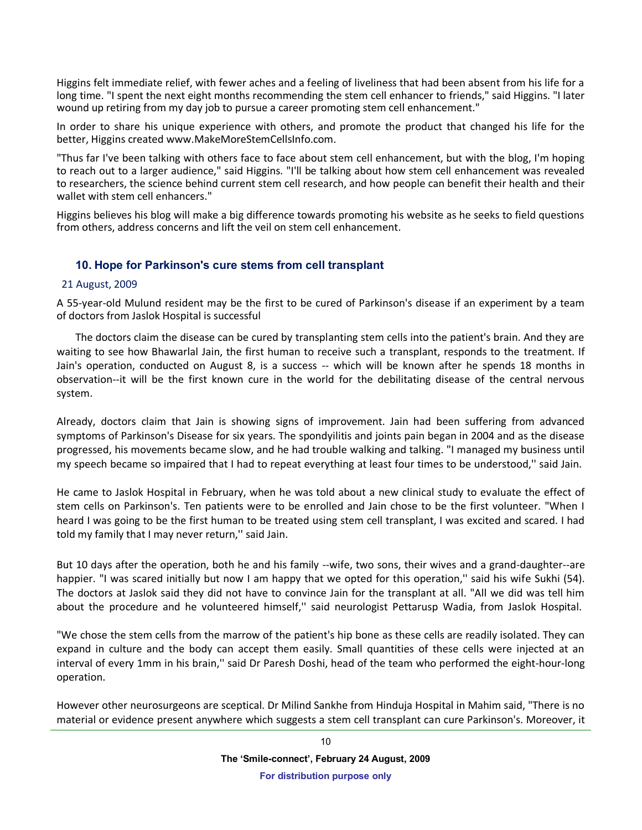Higgins felt immediate relief, with fewer aches and a feeling of liveliness that had been absent from his life for a long time. "I spent the next eight months recommending the stem cell enhancer to friends," said Higgins. "I later wound up retiring from my day job to pursue a career promoting stem cell enhancement."

In order to share his unique experience with others, and promote the product that changed his life for the better, Higgins created www.MakeMoreStemCellsInfo.com.

"Thus far I've been talking with others face to face about stem cell enhancement, but with the blog, I'm hoping to reach out to a larger audience," said Higgins. "I'll be talking about how stem cell enhancement was revealed to researchers, the science behind current stem cell research, and how people can benefit their health and their wallet with stem cell enhancers."

Higgins believes his blog will make a big difference towards promoting his website as he seeks to field questions from others, address concerns and lift the veil on stem cell enhancement.

## **10. Hope for Parkinson's cure stems from cell transplant**

#### <span id="page-9-0"></span>21 August, 2009

A 55-year-old Mulund resident may be the first to be cured of Parkinson's disease if an experiment by a team of doctors from Jaslok Hospital is successful

The doctors claim the disease can be cured by transplanting stem cells into the patient's brain. And they are waiting to see how Bhawarlal Jain, the first human to receive such a transplant, responds to the treatment. If Jain's operation, conducted on August 8, is a success -- which will be known after he spends 18 months in observation--it will be the first known cure in the world for the debilitating disease of the central nervous system.

Already, doctors claim that Jain is showing signs of improvement. Jain had been suffering from advanced symptoms of Parkinson's Disease for six years. The spondyilitis and joints pain began in 2004 and as the disease progressed, his movements became slow, and he had trouble walking and talking. "I managed my business until my speech became so impaired that I had to repeat everything at least four times to be understood,'' said Jain.

He came to Jaslok Hospital in February, when he was told about a new clinical study to evaluate the effect of stem cells on Parkinson's. Ten patients were to be enrolled and Jain chose to be the first volunteer. "When I heard I was going to be the first human to be treated using stem cell transplant, I was excited and scared. I had told my family that I may never return,'' said Jain.

But 10 days after the operation, both he and his family --wife, two sons, their wives and a grand-daughter--are happier. "I was scared initially but now I am happy that we opted for this operation,'' said his wife Sukhi (54). The doctors at Jaslok said they did not have to convince Jain for the transplant at all. "All we did was tell him about the procedure and he volunteered himself,'' said neurologist Pettarusp Wadia, from Jaslok Hospital.

"We chose the stem cells from the marrow of the patient's hip bone as these cells are readily isolated. They can expand in culture and the body can accept them easily. Small quantities of these cells were injected at an interval of every 1mm in his brain,'' said Dr Paresh Doshi, head of the team who performed the eight-hour-long operation.

However other neurosurgeons are sceptical. Dr Milind Sankhe from Hinduja Hospital in Mahim said, "There is no material or evidence present anywhere which suggests a stem cell transplant can cure Parkinson's. Moreover, it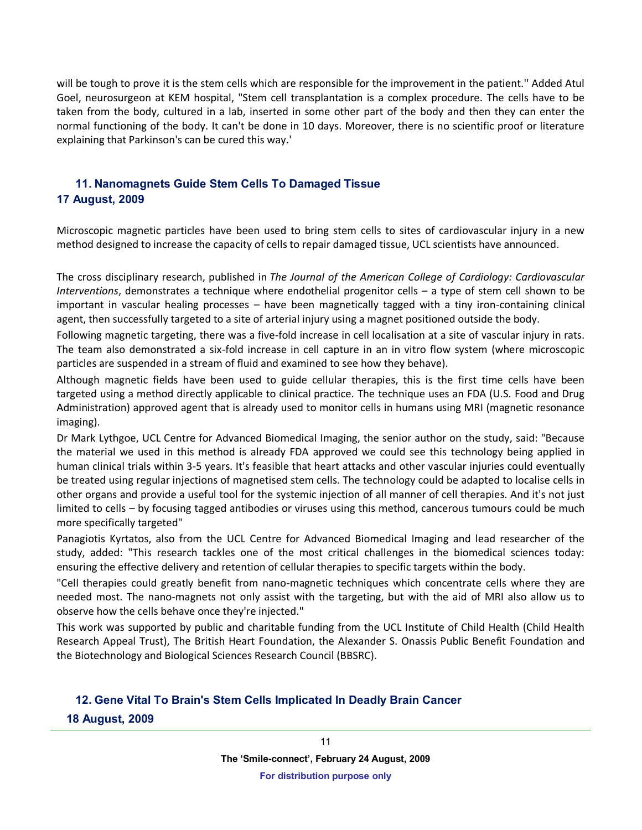will be tough to prove it is the stem cells which are responsible for the improvement in the patient.'' Added Atul Goel, neurosurgeon at KEM hospital, "Stem cell transplantation is a complex procedure. The cells have to be taken from the body, cultured in a lab, inserted in some other part of the body and then they can enter the normal functioning of the body. It can't be done in 10 days. Moreover, there is no scientific proof or literature explaining that Parkinson's can be cured this way.'

## <span id="page-10-0"></span>**11. Nanomagnets Guide Stem Cells To Damaged Tissue 17 August, 2009**

Microscopic magnetic particles have been used to bring stem cells to sites of cardiovascular injury in a new method designed to increase the capacity of cells to repair damaged tissue, UCL scientists have announced.

The cross disciplinary research, published in *The Journal of the American College of Cardiology: Cardiovascular Interventions*, demonstrates a technique where endothelial progenitor cells – a type of stem cell shown to be important in vascular healing processes – have been magnetically tagged with a tiny iron-containing clinical agent, then successfully targeted to a site of arterial injury using a magnet positioned outside the body.

Following magnetic targeting, there was a five-fold increase in cell localisation at a site of vascular injury in rats. The team also demonstrated a six-fold increase in cell capture in an in vitro flow system (where microscopic particles are suspended in a stream of fluid and examined to see how they behave).

Although magnetic fields have been used to guide cellular therapies, this is the first time cells have been targeted using a method directly applicable to clinical practice. The technique uses an FDA (U.S. Food and Drug Administration) approved agent that is already used to monitor cells in humans using MRI (magnetic resonance imaging).

Dr Mark Lythgoe, UCL Centre for Advanced Biomedical Imaging, the senior author on the study, said: "Because the material we used in this method is already FDA approved we could see this technology being applied in human clinical trials within 3-5 years. It's feasible that heart attacks and other vascular injuries could eventually be treated using regular injections of magnetised stem cells. The technology could be adapted to localise cells in other organs and provide a useful tool for the systemic injection of all manner of cell therapies. And it's not just limited to cells – by focusing tagged antibodies or viruses using this method, cancerous tumours could be much more specifically targeted"

Panagiotis Kyrtatos, also from the UCL Centre for Advanced Biomedical Imaging and lead researcher of the study, added: "This research tackles one of the most critical challenges in the biomedical sciences today: ensuring the effective delivery and retention of cellular therapies to specific targets within the body.

"Cell therapies could greatly benefit from nano-magnetic techniques which concentrate cells where they are needed most. The nano-magnets not only assist with the targeting, but with the aid of MRI also allow us to observe how the cells behave once they're injected."

This work was supported by public and charitable funding from the UCL Institute of Child Health (Child Health Research Appeal Trust), The British Heart Foundation, the Alexander S. Onassis Public Benefit Foundation and the Biotechnology and Biological Sciences Research Council (BBSRC).

## <span id="page-10-1"></span>**12. Gene Vital To Brain's Stem Cells Implicated In Deadly Brain Cancer**

 **18 August, 2009**

**For distribution purpose only**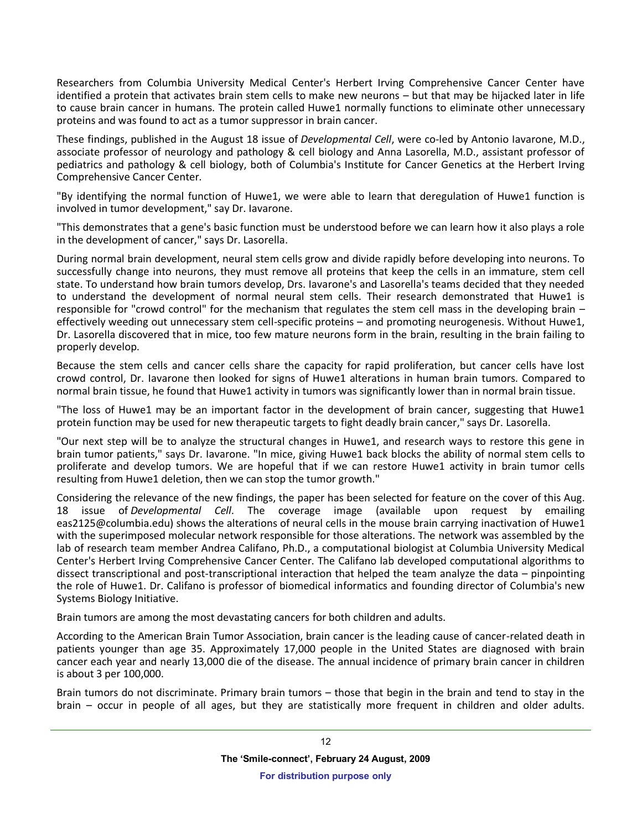Researchers from Columbia University Medical Center's Herbert Irving Comprehensive Cancer Center have identified a protein that activates brain stem cells to make new neurons – but that may be hijacked later in life to cause brain cancer in humans. The protein called Huwe1 normally functions to eliminate other unnecessary proteins and was found to act as a tumor suppressor in brain cancer.

These findings, published in the August 18 issue of *Developmental Cell*, were co-led by Antonio Iavarone, M.D., associate professor of neurology and pathology & cell biology and Anna Lasorella, M.D., assistant professor of pediatrics and pathology & cell biology, both of Columbia's Institute for Cancer Genetics at the Herbert Irving Comprehensive Cancer Center.

"By identifying the normal function of Huwe1, we were able to learn that deregulation of Huwe1 function is involved in tumor development," say Dr. Iavarone.

"This demonstrates that a gene's basic function must be understood before we can learn how it also plays a role in the development of cancer," says Dr. Lasorella.

During normal brain development, neural stem cells grow and divide rapidly before developing into neurons. To successfully change into neurons, they must remove all proteins that keep the cells in an immature, stem cell state. To understand how brain tumors develop, Drs. Iavarone's and Lasorella's teams decided that they needed to understand the development of normal neural stem cells. Their research demonstrated that Huwe1 is responsible for "crowd control" for the mechanism that regulates the stem cell mass in the developing brain – effectively weeding out unnecessary stem cell-specific proteins – and promoting neurogenesis. Without Huwe1, Dr. Lasorella discovered that in mice, too few mature neurons form in the brain, resulting in the brain failing to properly develop.

Because the stem cells and cancer cells share the capacity for rapid proliferation, but cancer cells have lost crowd control, Dr. Iavarone then looked for signs of Huwe1 alterations in human brain tumors. Compared to normal brain tissue, he found that Huwe1 activity in tumors was significantly lower than in normal brain tissue.

"The loss of Huwe1 may be an important factor in the development of brain cancer, suggesting that Huwe1 protein function may be used for new therapeutic targets to fight deadly brain cancer," says Dr. Lasorella.

"Our next step will be to analyze the structural changes in Huwe1, and research ways to restore this gene in brain tumor patients," says Dr. Iavarone. "In mice, giving Huwe1 back blocks the ability of normal stem cells to proliferate and develop tumors. We are hopeful that if we can restore Huwe1 activity in brain tumor cells resulting from Huwe1 deletion, then we can stop the tumor growth."

Considering the relevance of the new findings, the paper has been selected for feature on the cover of this Aug. 18 issue of *Developmental Cell*. The coverage image (available upon request by emailing eas2125@columbia.edu) shows the alterations of neural cells in the mouse brain carrying inactivation of Huwe1 with the superimposed molecular network responsible for those alterations. The network was assembled by the lab of research team member Andrea Califano, Ph.D., a computational biologist at Columbia University Medical Center's Herbert Irving Comprehensive Cancer Center. The Califano lab developed computational algorithms to dissect transcriptional and post-transcriptional interaction that helped the team analyze the data – pinpointing the role of Huwe1. Dr. Califano is professor of biomedical informatics and founding director of Columbia's new Systems Biology Initiative.

Brain tumors are among the most devastating cancers for both children and adults.

According to the American Brain Tumor Association, brain cancer is the leading cause of cancer-related death in patients younger than age 35. Approximately 17,000 people in the United States are diagnosed with brain cancer each year and nearly 13,000 die of the disease. The annual incidence of primary brain cancer in children is about 3 per 100,000.

Brain tumors do not discriminate. Primary brain tumors – those that begin in the brain and tend to stay in the brain – occur in people of all ages, but they are statistically more frequent in children and older adults.